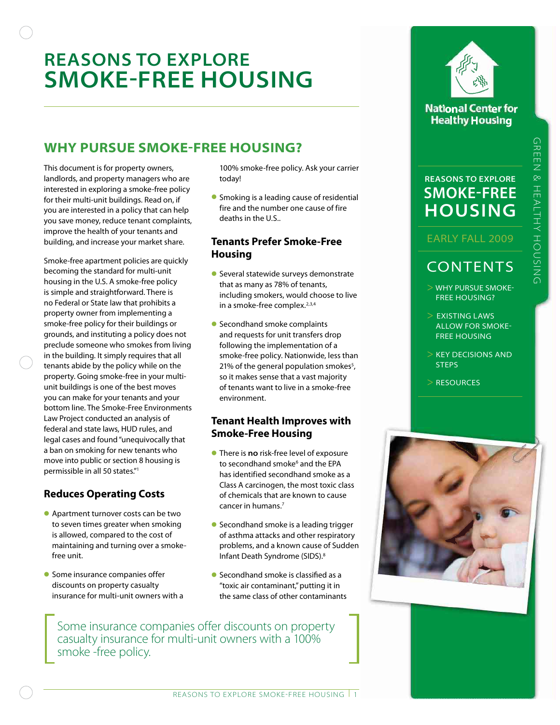# **Reasons to Explore Smoke-Free Housing**

## **Why Pursue Smoke-Free Housing?**

This document is for property owners, landlords, and property managers who are interested in exploring a smoke-free policy for their multi-unit buildings. Read on, if you are interested in a policy that can help you save money, reduce tenant complaints, improve the health of your tenants and building, and increase your market share.

Smoke-free apartment policies are quickly becoming the standard for multi-unit housing in the U.S. A smoke-free policy is simple and straightforward. There is no Federal or State law that prohibits a property owner from implementing a smoke-free policy for their buildings or grounds, and instituting a policy does not preclude someone who smokes from living in the building. It simply requires that all tenants abide by the policy while on the property. Going smoke-free in your multiunit buildings is one of the best moves you can make for your tenants and your bottom line. The Smoke-Free Environments Law Project conducted an analysis of federal and state laws, HUD rules, and legal cases and found "unequivocally that a ban on smoking for new tenants who move into public or section 8 housing is permissible in all 50 states."1

## **Reduces Operating Costs**

- Apartment turnover costs can be two to seven times greater when smoking is allowed, compared to the cost of maintaining and turning over a smokefree unit.
- Some insurance companies offer discounts on property casualty insurance for multi-unit owners with a

100% smoke-free policy. Ask your carrier today!

**•** Smoking is a leading cause of residential fire and the number one cause of fire deaths in the U.S..

#### **Tenants Prefer Smoke-Free Housing**

- Several statewide surveys demonstrate that as many as 78% of tenants, including smokers, would choose to live in a smoke-free complex.<sup>2,3,4</sup>
- Secondhand smoke complaints and requests for unit transfers drop following the implementation of a smoke-free policy. Nationwide, less than 21% of the general population smokes<sup>5</sup>, so it makes sense that a vast majority of tenants want to live in a smoke-free environment.

### **Tenant Health Improves with Smoke-Free Housing**

- There is **no** risk-free level of exposure to secondhand smoke<sup>6</sup> and the EPA has identified secondhand smoke as a Class A carcinogen, the most toxic class of chemicals that are known to cause cancer in humans.7
- Secondhand smoke is a leading trigger of asthma attacks and other respiratory problems, and a known cause of Sudden Infant Death Syndrome (SIDS).8
- Secondhand smoke is classified as a "toxic air contaminant," putting it in the same class of other contaminants

Some insurance companies offer discounts on property casualty insurance for multi-unit owners with a 100% smoke -free policy.



### **National Center for Healthy Housing**

## **Reasons to Explore Smoke-free Housing**

### Early Fall 2009

## **CONTENTS**

- > Why Pursue smoke free housing?
- > Existing laws allow for smoke free housing
- > key decisions and **STEPS**
- > Resources

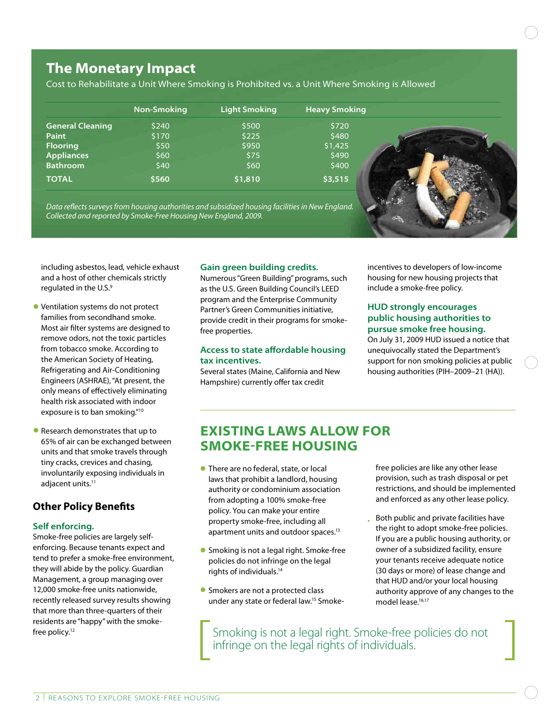## **The Monetary Impact**

Cost to Rehabilitate a Unit Where Smoking is Prohibited vs. a Unit Where Smoking is Allowed

|                         | Non-Smoking | <b>Light Smoking</b> | <b>Heavy Smoking</b> |  |
|-------------------------|-------------|----------------------|----------------------|--|
| <b>General Cleaning</b> | \$240       | \$500                | \$720                |  |
| Paint                   | \$170       | \$225                | \$480                |  |
| <b>Flooring</b>         | \$50        | \$950                | \$1,425              |  |
| <b>Appliances</b>       | \$60        | \$75                 | \$490                |  |
| <b>Bathroom</b>         | \$40        | \$60                 | \$400                |  |
| <b>TOTAL</b>            | \$560       | \$1,810              | \$3,515              |  |

*Data reflects surveys from housing authorities and subsidized housing facilities in New England. Collected and reported by Smoke-Free Housing New England, 2009.*

including asbestos, lead, vehicle exhaust and a host of other chemicals strictly regulated in the U.S.<sup>9</sup>

- Ventilation systems do not protect families from secondhand smoke. Most air filter systems are designed to remove odors, not the toxic particles from tobacco smoke. According to the American Society of Heating, Refrigerating and Air-Conditioning Engineers (ASHRAE), "At present, the only means of effectively eliminating health risk associated with indoor exposure is to ban smoking."10
- Research demonstrates that up to 65% of air can be exchanged between units and that smoke travels through tiny cracks, crevices and chasing, involuntarily exposing individuals in adjacent units.<sup>11</sup>

## **Other Policy Benefits**

#### **Self enforcing.**

Smoke-free policies are largely selfenforcing. Because tenants expect and tend to prefer a smoke-free environment, they will abide by the policy. Guardian Management, a group managing over 12,000 smoke-free units nationwide, recently released survey results showing that more than three-quarters of their residents are "happy" with the smokefree policy.<sup>12</sup>

#### **Gain green building credits.**

Numerous "Green Building" programs, such as the U.S. Green Building Council's LEED program and the Enterprise Community Partner's Green Communities initiative, provide credit in their programs for smokefree properties.

#### **Access to state affordable housing tax incentives.**

Several states (Maine, California and New Hampshire) currently offer tax credit

incentives to developers of low-income housing for new housing projects that include a smoke-free policy.

#### **HUD strongly encourages public housing authorities to pursue smoke free housing.**

On July 31, 2009 HUD issued a notice that unequivocally stated the Department's support for non smoking policies at public housing authorities (PIH–2009–21 (HA)).

## **Existing Laws Allow for Smoke-Free Housing**

- There are no federal, state, or local laws that prohibit a landlord, housing authority or condominium association from adopting a 100% smoke-free policy. You can make your entire property smoke-free, including all apartment units and outdoor spaces.13
- **•** Smoking is not a legal right. Smoke-free policies do not infringe on the legal rights of individuals.14
- **Smokers are not a protected class** under any state or federal law.<sup>15</sup> Smoke-

free policies are like any other lease provision, such as trash disposal or pet restrictions, and should be implemented and enforced as any other lease policy.

• Both public and private facilities have the right to adopt smoke-free policies. If you are a public housing authority, or owner of a subsidized facility, ensure your tenants receive adequate notice (30 days or more) of lease change and that HUD and/or your local housing authority approve of any changes to the model lease.<sup>16,17</sup>

Smoking is not a legal right. Smoke-free policies do not infringe on the legal rights of individuals.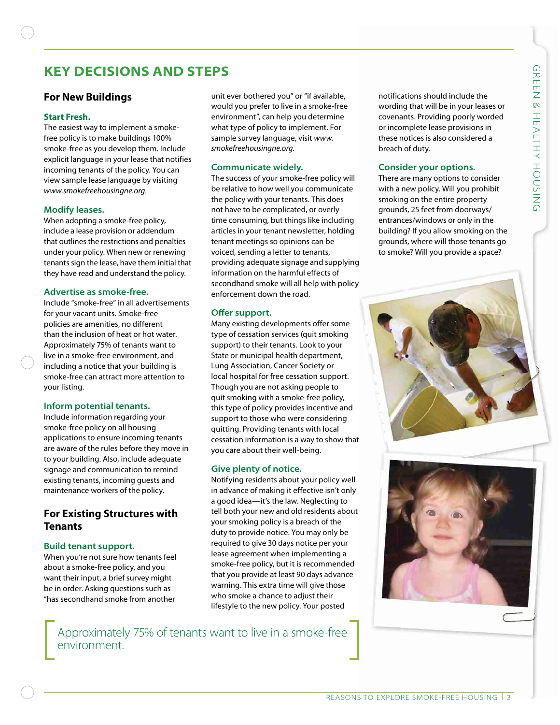## **Key Decisions and Steps**

## **For New Buildings**

#### **Start Fresh.**

The easiest way to implement a smokefree policy is to make buildings 100% smoke-free as you develop them. Include explicit language in your lease that notifies incoming tenants of the policy. You can view sample lease language by visiting *www.smokefreehousingne.org.*

#### **Modify leases.**

When adopting a smoke-free policy, include a lease provision or addendum that outlines the restrictions and penalties under your policy. When new or renewing tenants sign the lease, have them initial that they have read and understand the policy.

#### **Advertise as smoke-free.**

Include "smoke-free" in all advertisements for your vacant units. Smoke-free policies are amenities, no different than the inclusion of heat or hot water. Approximately 75% of tenants want to live in a smoke-free environment, and including a notice that your building is smoke-free can attract more attention to your listing.

#### **Inform potential tenants.**

Include information regarding your smoke-free policy on all housing applications to ensure incoming tenants are aware of the rules before they move in to your building. Also, include adequate signage and communication to remind existing tenants, incoming guests and maintenance workers of the policy.

### **For Existing Structures with Tenants**

#### **Build tenant support.**

When you're not sure how tenants feel about a smoke-free policy, and you want their input, a brief survey might be in order. Asking questions such as "has secondhand smoke from another

unit ever bothered you" or "if available, would you prefer to live in a smoke-free environment", can help you determine what type of policy to implement. For sample survey language, visit *www. smokefreehousingne.org.*

#### **Communicate widely.**

The success of your smoke-free policy will be relative to how well you communicate the policy with your tenants. This does not have to be complicated, or overly time consuming, but things like including articles in your tenant newsletter, holding tenant meetings so opinions can be voiced, sending a letter to tenants, providing adequate signage and supplying information on the harmful effects of secondhand smoke will all help with policy enforcement down the road.

#### **Offer support.**

Many existing developments offer some type of cessation services (quit smoking support) to their tenants. Look to your State or municipal health department, Lung Association, Cancer Society or local hospital for free cessation support. Though you are not asking people to quit smoking with a smoke-free policy, this type of policy provides incentive and support to those who were considering quitting. Providing tenants with local cessation information is a way to show that you care about their well-being.

#### **Give plenty of notice.**

Notifying residents about your policy well in advance of making it effective isn't only a good idea—it's the law. Neglecting to tell both your new and old residents about your smoking policy is a breach of the duty to provide notice. You may only be required to give 30 days notice per your lease agreement when implementing a smoke-free policy, but it is recommended that you provide at least 90 days advance warning. This extra time will give those who smoke a chance to adjust their lifestyle to the new policy. Your posted

Approximately 75% of tenants want to live in a smoke-free environment.

notifications should include the wording that will be in your leases or covenants. Providing poorly worded or incomplete lease provisions in these notices is also considered a breach of duty.

#### **Consider your options.**

There are many options to consider with a new policy. Will you prohibit smoking on the entire property grounds, 25 feet from doorways/ entrances/windows or only in the building? If you allow smoking on the grounds, where will those tenants go to smoke? Will you provide a space?